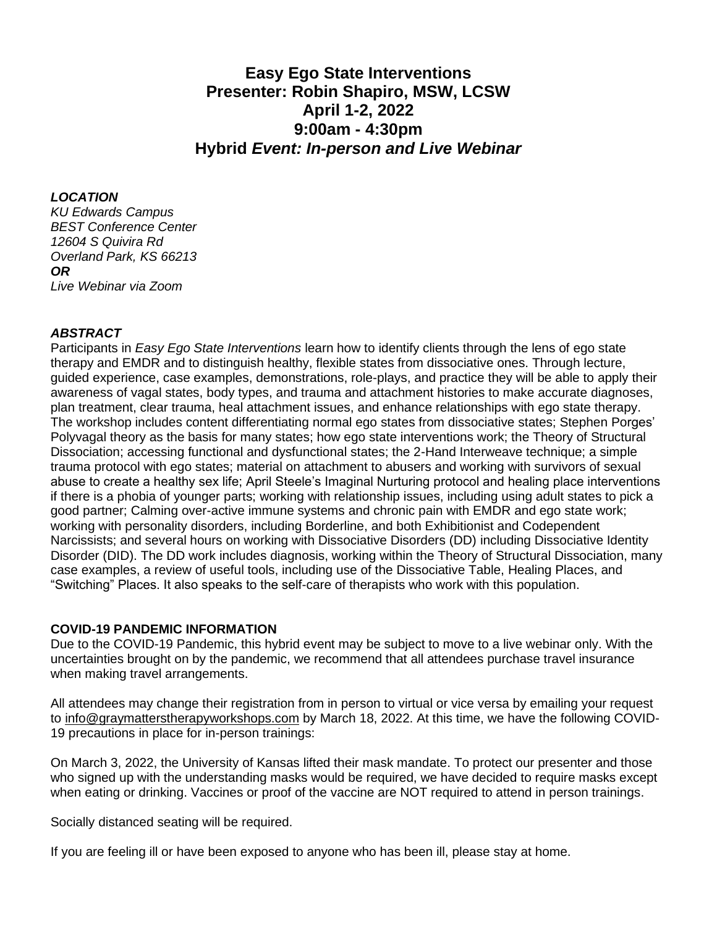# **Easy Ego State Interventions Presenter: Robin Shapiro, MSW, LCSW April 1-2, 2022 9:00am - 4:30pm Hybrid** *Event: In-person and Live Webinar*

#### *LOCATION*

*KU Edwards Campus BEST Conference Center 12604 S Quivira Rd Overland Park, KS 66213 OR Live Webinar via Zoom*

#### *ABSTRACT*

Participants in *Easy Ego State Interventions* learn how to identify clients through the lens of ego state therapy and EMDR and to distinguish healthy, flexible states from dissociative ones. Through lecture, guided experience, case examples, demonstrations, role-plays, and practice they will be able to apply their awareness of vagal states, body types, and trauma and attachment histories to make accurate diagnoses, plan treatment, clear trauma, heal attachment issues, and enhance relationships with ego state therapy. The workshop includes content differentiating normal ego states from dissociative states; Stephen Porges' Polyvagal theory as the basis for many states; how ego state interventions work; the Theory of Structural Dissociation; accessing functional and dysfunctional states; the 2-Hand Interweave technique; a simple trauma protocol with ego states; material on attachment to abusers and working with survivors of sexual abuse to create a healthy sex life; April Steele's Imaginal Nurturing protocol and healing place interventions if there is a phobia of younger parts; working with relationship issues, including using adult states to pick a good partner; Calming over-active immune systems and chronic pain with EMDR and ego state work; working with personality disorders, including Borderline, and both Exhibitionist and Codependent Narcissists; and several hours on working with Dissociative Disorders (DD) including Dissociative Identity Disorder (DID). The DD work includes diagnosis, working within the Theory of Structural Dissociation, many case examples, a review of useful tools, including use of the Dissociative Table, Healing Places, and "Switching" Places. It also speaks to the self-care of therapists who work with this population.

### **COVID-19 PANDEMIC INFORMATION**

Due to the COVID-19 Pandemic, this hybrid event may be subject to move to a live webinar only. With the uncertainties brought on by the pandemic, we recommend that all attendees purchase travel insurance when making travel arrangements.

All attendees may change their registration from in person to virtual or vice versa by emailing your request to [info@graymatterstherapyworkshops.com](mailto:info@graymatterstherapyworkshops.com) by March 18, 2022. At this time, we have the following COVID-19 precautions in place for in-person trainings:

On March 3, 2022, the University of Kansas lifted their mask mandate. To protect our presenter and those who signed up with the understanding masks would be required, we have decided to require masks except when eating or drinking. Vaccines or proof of the vaccine are NOT required to attend in person trainings.

Socially distanced seating will be required.

If you are feeling ill or have been exposed to anyone who has been ill, please stay at home.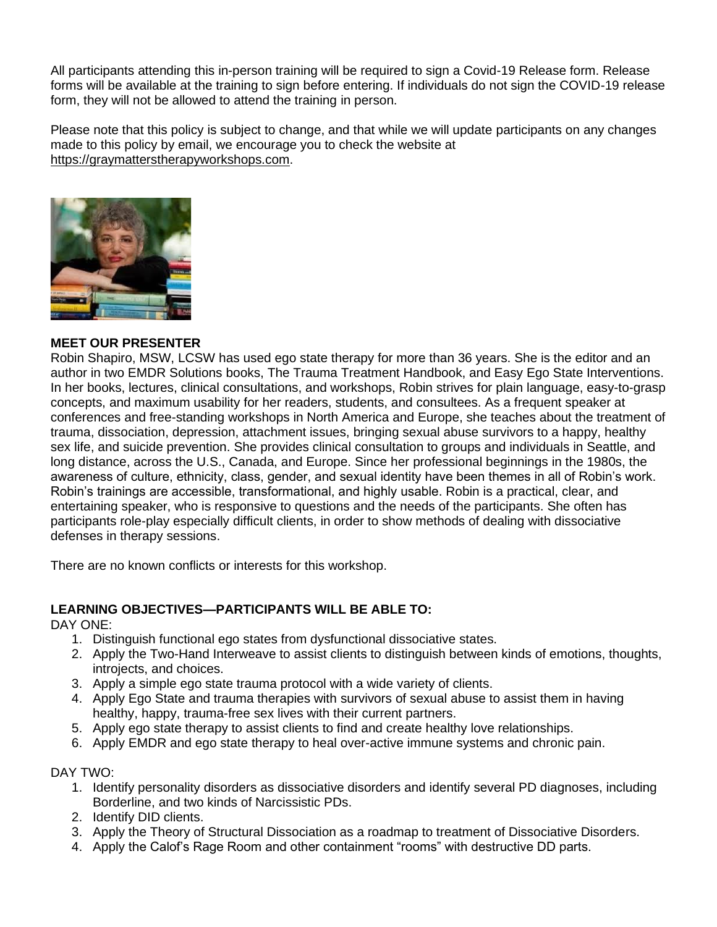All participants attending this in-person training will be required to sign a Covid-19 Release form. Release forms will be available at the training to sign before entering. If individuals do not sign the COVID-19 release form, they will not be allowed to attend the training in person.

Please note that this policy is subject to change, and that while we will update participants on any changes made to this policy by email, we encourage you to check the website at [https://graymatterstherapyworkshops.com.](https://graymatterstherapyworkshops.com/)



#### **MEET OUR PRESENTER**

Robin Shapiro, MSW, LCSW has used ego state therapy for more than 36 years. She is the editor and an author in two EMDR Solutions books, The Trauma Treatment Handbook, and Easy Ego State Interventions. In her books, lectures, clinical consultations, and workshops, Robin strives for plain language, easy-to-grasp concepts, and maximum usability for her readers, students, and consultees. As a frequent speaker at conferences and free-standing workshops in North America and Europe, she teaches about the treatment of trauma, dissociation, depression, attachment issues, bringing sexual abuse survivors to a happy, healthy sex life, and suicide prevention. She provides clinical consultation to groups and individuals in Seattle, and long distance, across the U.S., Canada, and Europe. Since her professional beginnings in the 1980s, the awareness of culture, ethnicity, class, gender, and sexual identity have been themes in all of Robin's work. Robin's trainings are accessible, transformational, and highly usable. Robin is a practical, clear, and entertaining speaker, who is responsive to questions and the needs of the participants. She often has participants role-play especially difficult clients, in order to show methods of dealing with dissociative defenses in therapy sessions.

There are no known conflicts or interests for this workshop.

### **LEARNING OBJECTIVES—PARTICIPANTS WILL BE ABLE TO:**

DAY ONE:

- 1. Distinguish functional ego states from dysfunctional dissociative states.
- 2. Apply the Two-Hand Interweave to assist clients to distinguish between kinds of emotions, thoughts, introjects, and choices.
- 3. Apply a simple ego state trauma protocol with a wide variety of clients.
- 4. Apply Ego State and trauma therapies with survivors of sexual abuse to assist them in having healthy, happy, trauma-free sex lives with their current partners.
- 5. Apply ego state therapy to assist clients to find and create healthy love relationships.
- 6. Apply EMDR and ego state therapy to heal over-active immune systems and chronic pain.

DAY TWO:

- 1. Identify personality disorders as dissociative disorders and identify several PD diagnoses, including Borderline, and two kinds of Narcissistic PDs.
- 2. Identify DID clients.
- 3. Apply the Theory of Structural Dissociation as a roadmap to treatment of Dissociative Disorders.
- 4. Apply the Calof's Rage Room and other containment "rooms" with destructive DD parts.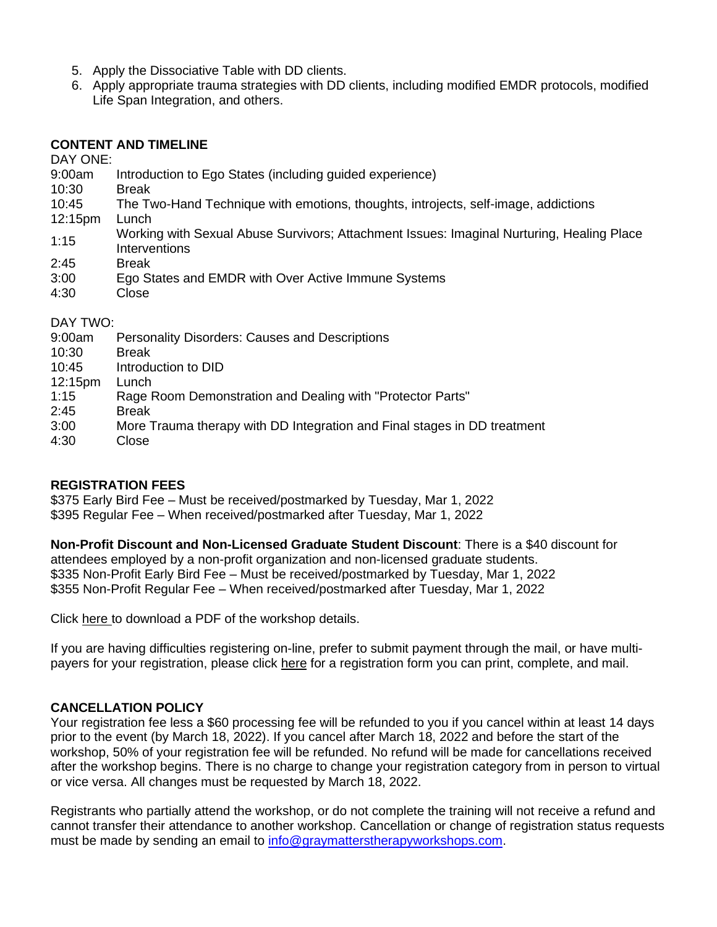- 5. Apply the Dissociative Table with DD clients.
- 6. Apply appropriate trauma strategies with DD clients, including modified EMDR protocols, modified Life Span Integration, and others.

#### **CONTENT AND TIMELINE**

DAY ONE:

- 9:00am Introduction to Ego States (including guided experience)
- 10:30 Break
- 10:45 The Two-Hand Technique with emotions, thoughts, introjects, self-image, addictions
- 12:15pm Lunch
- 1:15 Working with Sexual Abuse Survivors; Attachment Issues: Imaginal Nurturing, Healing Place **Interventions**
- 2:45 Break
- 3:00 Ego States and EMDR with Over Active Immune Systems
- 4:30 Close

### DAY TWO:

- 9:00am Personality Disorders: Causes and Descriptions
- 10:30 Break
- 10:45 Introduction to DID
- 12:15pm Lunch
- 1:15 Rage Room Demonstration and Dealing with "Protector Parts"
- 2:45 Break
- 3:00 More Trauma therapy with DD Integration and Final stages in DD treatment
- 4:30 Close

### **REGISTRATION FEES**

\$375 Early Bird Fee – Must be received/postmarked by Tuesday, Mar 1, 2022 \$395 Regular Fee – When received/postmarked after Tuesday, Mar 1, 2022

**Non-Profit Discount and Non-Licensed Graduate Student Discount**: There is a \$40 discount for attendees employed by a non-profit organization and non-licensed graduate students. \$335 Non-Profit Early Bird Fee – Must be received/postmarked by Tuesday, Mar 1, 2022 \$355 Non-Profit Regular Fee – When received/postmarked after Tuesday, Mar 1, 2022

Click here to download a PDF of the workshop details.

If you are having difficulties registering on-line, prefer to submit payment through the mail, or have multipayers for your registration, please click here for a registration form you can print, complete, and mail.

### **CANCELLATION POLICY**

Your registration fee less a \$60 processing fee will be refunded to you if you cancel within at least 14 days prior to the event (by March 18, 2022). If you cancel after March 18, 2022 and before the start of the workshop, 50% of your registration fee will be refunded. No refund will be made for cancellations received after the workshop begins. There is no charge to change your registration category from in person to virtual or vice versa. All changes must be requested by March 18, 2022.

Registrants who partially attend the workshop, or do not complete the training will not receive a refund and cannot transfer their attendance to another workshop. Cancellation or change of registration status requests must be made by sending an email to [info@graymatterstherapyworkshops.com.](mailto:info@graymatterstherapyworkshops.com)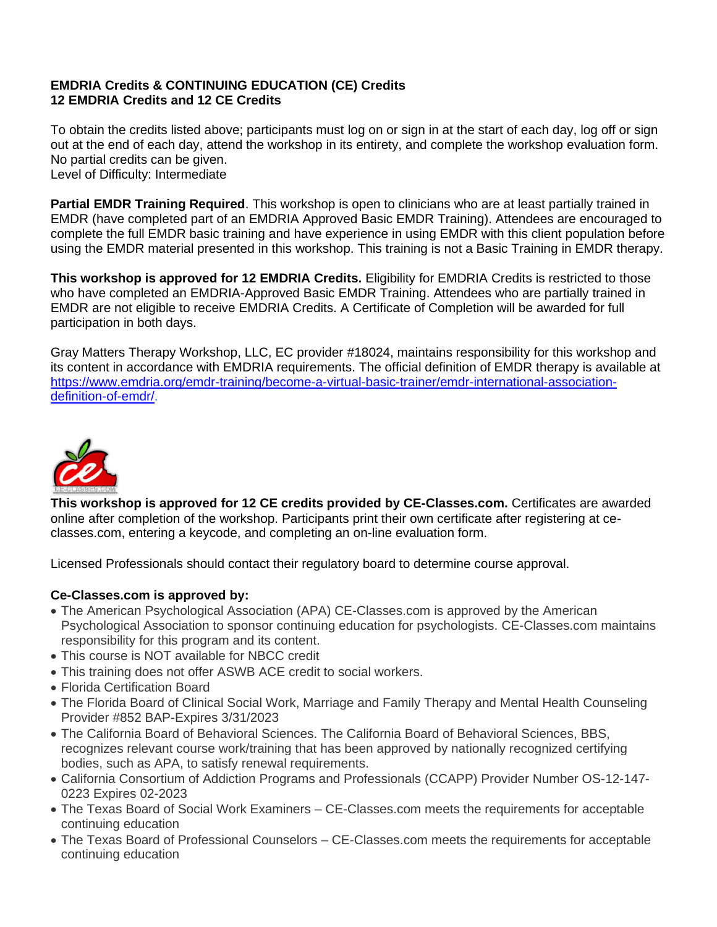## **EMDRIA Credits & CONTINUING EDUCATION (CE) Credits 12 EMDRIA Credits and 12 CE Credits**

To obtain the credits listed above; participants must log on or sign in at the start of each day, log off or sign out at the end of each day, attend the workshop in its entirety, and complete the workshop evaluation form. No partial credits can be given. Level of Difficulty: Intermediate

**Partial EMDR Training Required**. This workshop is open to clinicians who are at least partially trained in EMDR (have completed part of an EMDRIA Approved Basic EMDR Training). Attendees are encouraged to complete the full EMDR basic training and have experience in using EMDR with this client population before using the EMDR material presented in this workshop. This training is not a Basic Training in EMDR therapy.

**This workshop is approved for 12 EMDRIA Credits.** Eligibility for EMDRIA Credits is restricted to those who have completed an EMDRIA-Approved Basic EMDR Training. Attendees who are partially trained in EMDR are not eligible to receive EMDRIA Credits. A Certificate of Completion will be awarded for full participation in both days.

Gray Matters Therapy Workshop, LLC, EC provider #18024, maintains responsibility for this workshop and its content in accordance with EMDRIA requirements. The official definition of EMDR therapy is available at [https://www.emdria.org/emdr-training/become-a-virtual-basic-trainer/emdr-international-association](https://www.emdria.org/emdr-training/become-a-virtual-basic-trainer/emdr-international-association-definition-of-emdr/)[definition-of-emdr/.](https://www.emdria.org/emdr-training/become-a-virtual-basic-trainer/emdr-international-association-definition-of-emdr/)



**This workshop is approved for 12 CE credits provided by CE-Classes.com.** Certificates are awarded online after completion of the workshop. Participants print their own certificate after registering at ceclasses.com, entering a keycode, and completing an on-line evaluation form.

Licensed Professionals should contact their regulatory board to determine course approval.

### **Ce-Classes.com is approved by:**

- The American Psychological Association (APA) CE-Classes.com is approved by the American Psychological Association to sponsor continuing education for psychologists. CE-Classes.com maintains responsibility for this program and its content.
- This course is NOT available for NBCC credit
- This training does not offer ASWB ACE credit to social workers.
- Florida Certification Board
- The Florida Board of Clinical Social Work, Marriage and Family Therapy and Mental Health Counseling Provider #852 BAP-Expires 3/31/2023
- The California Board of Behavioral Sciences. The California Board of Behavioral Sciences, BBS, recognizes relevant course work/training that has been approved by nationally recognized certifying bodies, such as APA, to satisfy renewal requirements.
- California Consortium of Addiction Programs and Professionals (CCAPP) Provider Number OS-12-147- 0223 Expires 02-2023
- The Texas Board of Social Work Examiners CE-Classes.com meets the requirements for acceptable continuing education
- The Texas Board of Professional Counselors CE-Classes.com meets the requirements for acceptable continuing education